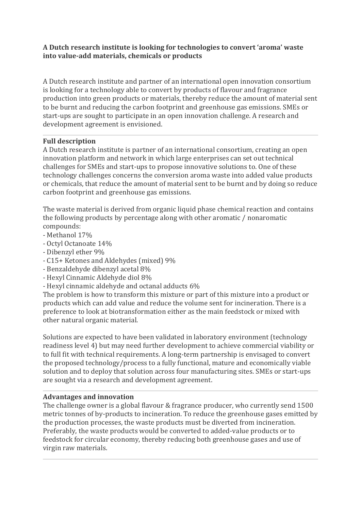#### **A Dutch research institute is looking for technologies to convert 'aroma' waste into value-add materials, chemicals or products**

A Dutch research institute and partner of an international open innovation consortium is looking for a technology able to convert by products of flavour and fragrance production into green products or materials, thereby reduce the amount of material sent to be burnt and reducing the carbon footprint and greenhouse gas emissions. SMEs or start-ups are sought to participate in an open innovation challenge. A research and development agreement is envisioned.

#### **Full description**

A Dutch research institute is partner of an international consortium, creating an open innovation platform and network in which large enterprises can set out technical challenges for SMEs and start-ups to propose innovative solutions to. One of these technology challenges concerns the conversion aroma waste into added value products or chemicals, that reduce the amount of material sent to be burnt and by doing so reduce carbon footprint and greenhouse gas emissions.

The waste material is derived from organic liquid phase chemical reaction and contains the following products by percentage along with other aromatic / nonaromatic compounds:

- Methanol 17%
- Octyl Octanoate 14%
- Dibenzyl ether 9%
- C15+ Ketones and Aldehydes (mixed) 9%
- Benzaldehyde dibenzyl acetal 8%
- Hexyl Cinnamic Aldehyde diol 8%
- Hexyl cinnamic aldehyde and octanal adducts 6%

The problem is how to transform this mixture or part of this mixture into a product or products which can add value and reduce the volume sent for incineration. There is a preference to look at biotransformation either as the main feedstock or mixed with other natural organic material.

Solutions are expected to have been validated in laboratory environment (technology readiness level 4) but may need further development to achieve commercial viability or to full fit with technical requirements. A long-term partnership is envisaged to convert the proposed technology/process to a fully functional, mature and economically viable solution and to deploy that solution across four manufacturing sites. SMEs or start-ups are sought via a research and development agreement.

### **Advantages and innovation**

The challenge owner is a global flavour & fragrance producer, who currently send 1500 metric tonnes of by-products to incineration. To reduce the greenhouse gases emitted by the production processes, the waste products must be diverted from incineration. Preferably, the waste products would be converted to added-value products or to feedstock for circular economy, thereby reducing both greenhouse gases and use of virgin raw materials.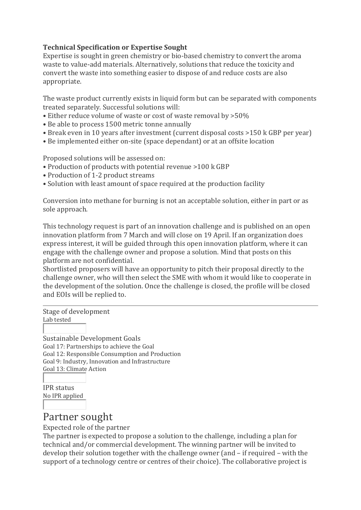#### **Technical Specification or Expertise Sought**

Expertise is sought in green chemistry or bio-based chemistry to convert the aroma waste to value-add materials. Alternatively, solutions that reduce the toxicity and convert the waste into something easier to dispose of and reduce costs are also appropriate.

The waste product currently exists in liquid form but can be separated with components treated separately. Successful solutions will:

- Either reduce volume of waste or cost of waste removal by >50%
- Be able to process 1500 metric tonne annually
- Break even in 10 years after investment (current disposal costs >150 k GBP per year)
- Be implemented either on-site (space dependant) or at an offsite location

Proposed solutions will be assessed on:

- Production of products with potential revenue >100 k GBP
- Production of 1-2 product streams
- Solution with least amount of space required at the production facility

Conversion into methane for burning is not an acceptable solution, either in part or as sole approach.

This technology request is part of an innovation challenge and is published on an open innovation platform from 7 March and will close on 19 April. If an organization does express interest, it will be guided through this open innovation platform, where it can engage with the challenge owner and propose a solution. Mind that posts on this platform are not confidential.

Shortlisted proposers will have an opportunity to pitch their proposal directly to the challenge owner, who will then select the SME with whom it would like to cooperate in the development of the solution. Once the challenge is closed, the profile will be closed and EOIs will be replied to.

Stage of development

Lab tested

Sustainable Development Goals Goal 17: Partnerships to achieve the Goal Goal 12: Responsible Consumption and Production Goal 9: Industry, Innovation and Infrastructure Goal 13: Climate Action

IPR status No IPR applied

# Partner sought

Expected role of the partner

The partner is expected to propose a solution to the challenge, including a plan for technical and/or commercial development. The winning partner will be invited to develop their solution together with the challenge owner (and – if required – with the support of a technology centre or centres of their choice). The collaborative project is